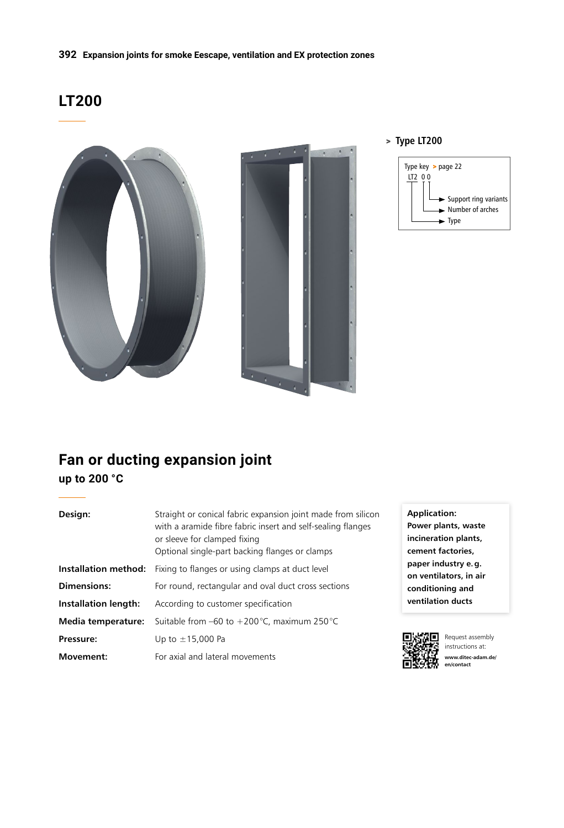## **LT200**



#### > **Type LT200**



# **Fan or ducting expansion joint**

**up to 200 °C** 

| Design:                   | Straight or conical fabric expansion joint made from silicon<br>with a aramide fibre fabric insert and self-sealing flanges<br>or sleeve for clamped fixing<br>Optional single-part backing flanges or clamps |  |
|---------------------------|---------------------------------------------------------------------------------------------------------------------------------------------------------------------------------------------------------------|--|
| Installation method:      | Fixing to flanges or using clamps at duct level                                                                                                                                                               |  |
| Dimensions:               | For round, rectangular and oval duct cross sections                                                                                                                                                           |  |
| Installation length:      | According to customer specification                                                                                                                                                                           |  |
| <b>Media temperature:</b> | Suitable from $-60$ to $+200$ °C, maximum 250 °C                                                                                                                                                              |  |
| Pressure:                 | Up to $\pm$ 15,000 Pa                                                                                                                                                                                         |  |
| Movement:                 | For axial and lateral movements                                                                                                                                                                               |  |

**Application: Power plants, waste incineration plants, cement factories, paper industry e.g. on ventilators, in air conditioning and ventilation ducts**



Request assembly instructions at: **www.ditec-adam.de/ en/contact**